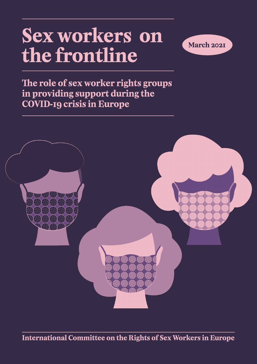# **Sex workers on the frontline**



**The role of sex worker rights groups in providing support during the COVID-19 crisis in Europe**



**International Committee on the Rights of Sex Workers in Europe**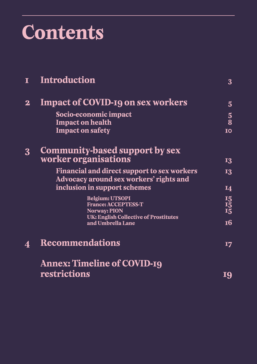# **Contents**

|              | <u>Introduction</u>                                                                           | $\overline{3}$               |
|--------------|-----------------------------------------------------------------------------------------------|------------------------------|
| $\mathbf{2}$ | <b>Impact of COVID-19 on sex workers</b>                                                      | $\overline{5}$               |
|              | Socio-economic impact<br><b>Impact on health</b>                                              | $\overline{\mathbf{5}}$<br>8 |
|              | <b>Impact on safety</b>                                                                       | IO                           |
| $\bf{3}$     | Community-based support by sex                                                                |                              |
|              | worker organisations                                                                          | <b>I3</b>                    |
|              | <b>Financial and direct support to sex workers</b><br>Advocacy around sex workers' rights and | <b>I3</b>                    |
|              | inclusion in support schemes                                                                  | <b>14</b>                    |
|              | Belgium: UTSOPI<br><b>France: ACCEPTESS-T</b>                                                 | I5<br>I5<br>I5<br>I5         |
|              | <b>Norway: PION</b>                                                                           |                              |
|              | UK: English Collective of Prostitutes<br>and Umbrella Lane                                    | <b>16</b>                    |
| 4            | <b>Recommendations</b>                                                                        | I7                           |
|              | Annex: Timeline of COVID-19                                                                   |                              |
|              | restrictions                                                                                  | 19                           |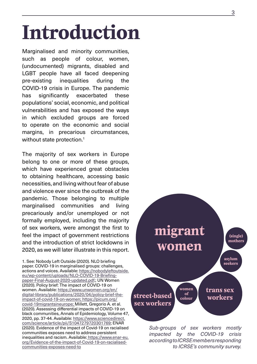# <span id="page-2-0"></span>**Introduction**

Marginalised and minority communities, such as people of colour, women, (undocumented) migrants, disabled and LGBT people have all faced deepening pre-existing inequalities during the COVID-19 crisis in Europe. The pandemic has significantly exacerbated these populations' social, economic, and political vulnerabilities and has exposed the ways in which excluded groups are forced to operate on the economic and social margins, in precarious circumstances, without state protection.<sup>1</sup>

The majority of sex workers in Europe belong to one or more of these groups, which have experienced great obstacles to obtaining healthcare, accessing basic necessities, and living without fear of abuse and violence ever since the outbreak of the pandemic. Those belonging to multiple marginalised communities and living precariously and/or unemployed or not formally employed, including the majority of sex workers, were amongst the first to feel the impact of government restrictions and the introduction of strict lockdowns in 2020, as we will later illustrate in this report.

1. See: Nobody Left Outside (2020). NLO briefing paper. COVID-19 in marginalised groups: challenges, actions and voices. Available: [https://nobodyleftoutside.](https://nobodyleftoutside.eu/wp-content/uploads/NLO-COVID-19-Briefing-paper-Final-August-2020-updated.pdf) [eu/wp-content/uploads/NLO-COVID-19-Briefing](https://nobodyleftoutside.eu/wp-content/uploads/NLO-COVID-19-Briefing-paper-Final-August-2020-updated.pdf)[paper-Final-August-2020-updated.pdf.](https://nobodyleftoutside.eu/wp-content/uploads/NLO-COVID-19-Briefing-paper-Final-August-2020-updated.pdf); UN Women (2020). Policy brief: The impact of COVID-19 on women. Available: [https://www.unwomen.org/en/](https://www.unwomen.org/en/digital-library/publications/2020/04/policy-brief-the-impact-of-covid-19-on-women) [digital-library/publications/2020/04/policy-brief-the](https://www.unwomen.org/en/digital-library/publications/2020/04/policy-brief-the-impact-of-covid-19-on-women)[impact-of-covid-19-on-women](https://www.unwomen.org/en/digital-library/publications/2020/04/policy-brief-the-impact-of-covid-19-on-women); [https://picum.org/](https://picum.org/covid-19migrantsineurope) [covid-19migrantsineurope;](https://picum.org/covid-19migrantsineurope) Millett, Gregorio A. et al. (2020). Assessing differential impacts of COVID-19 on black communities, Annals of Epidemiology, Volume 47, 2020, pp. 37-44. Available: [https://www.sciencedirect.](https://www.sciencedirect.com/science/article/pii/S1047279720301769) [com/science/article/pii/S1047279720301769](https://www.sciencedirect.com/science/article/pii/S1047279720301769); ENAR (2020). Evidence of the impact of Covid-19 on racialised communities exposes need to address persistent inequalities and racism. Available: [https://www.enar-eu.](https://www.enar-eu.org/Evidence-of-the-impact-of-Covid-19-on-racialised-communities-exposes-need-to) [org/Evidence-of-the-impact-of-Covid-19-on-racialised](https://www.enar-eu.org/Evidence-of-the-impact-of-Covid-19-on-racialised-communities-exposes-need-to)[communities-exposes-need-to](https://www.enar-eu.org/Evidence-of-the-impact-of-Covid-19-on-racialised-communities-exposes-need-to)



*Sub-groups of sex workers mostly impacted by the COVID-19 crisis according to ICRSE members responding to ICRSE's community survey.*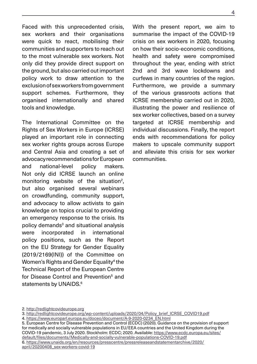Faced with this unprecedented crisis, sex workers and their organisations were quick to react, mobilising their communities and supporters to reach out to the most vulnerable sex workers. Not only did they provide direct support on the ground, but also carried out important policy work to draw attention to the exclusion of sex workers from government support schemes. Furthermore, they organised internationally and shared tools and knowledge.

The International Committee on the Rights of Sex Workers in Europe (ICRSE) played an important role in connecting sex worker rights groups across Europe and Central Asia and creating a set of advocacy recommendations for European and national-level policy makers. Not only did ICRSE launch an online monitoring website of the situation<sup>2</sup>, but also organised several webinars on crowdfunding, community support, and advocacy to allow activists to gain knowledge on topics crucial to providing an emergency response to the crisis. Its policy demands<sup>3</sup> and situational analysis were incorporated in international policy positions, such as the Report on the EU Strategy for Gender Equality (2019/2169(INI)) of the Committee on Women's Rights and Gender Equality<sup>4</sup> the Technical Report of the European Centre for Disease Control and Prevention<sup>5</sup> and statements by UNAIDS.<sup>6</sup>

With the present report, we aim to summarise the impact of the COVID-19 crisis on sex workers in 2020, focusing on how their socio-economic conditions, health and safety were compromised throughout the year, ending with strict 2nd and 3rd wave lockdowns and curfews in many countries of the region. Furthermore, we provide a summary of the various grassroots actions that ICRSE membership carried out in 2020, illustrating the power and resilience of sex worker collectives, based on a survey targeted at ICRSE membership and individual discussions. Finally, the report ends with recommendations for policy makers to upscale community support and alleviate this crisis for sex worker communities.

4. [https://www.europarl.europa.eu/doceo/document/A-9-2020-0234\\_EN.html](https://www.europarl.europa.eu/doceo/document/A-9-2020-0234_EN.html)

5. European Centre for Disease Prevention and Control (ECDC) (2020). Guidance on the provision of support for medically and socially vulnerable populations in EU/EEA countries and the United Kingdom during the COVID-19 pandemic, 3 July 2020. Stockholm: ECDC; 2020. Available: [https://www.ecdc.europa.eu/sites/](https://www.ecdc.europa.eu/sites/default/files/documents/Medically-and-socially-vulnerable-populations-COVID-19.pdf) [default/files/documents/Medically-and-socially-vulnerable-populations-COVID-19.pdf](https://www.ecdc.europa.eu/sites/default/files/documents/Medically-and-socially-vulnerable-populations-COVID-19.pdf) 6. [https://www.unaids.org/en/resources/presscentre/pressreleaseandstatementarchive/2020/](https://www.unaids.org/en/resources/presscentre/pressreleaseandstatementarchive/2020/april/20200408_sex-workers-covid-19) [april/20200408\\_sex-workers-covid-19](https://www.unaids.org/en/resources/presscentre/pressreleaseandstatementarchive/2020/april/20200408_sex-workers-covid-19)

<sup>2.</sup><http://redlightcovideurope.org>

<sup>3.</sup> [http://redlightcovideurope.org/wp-content/uploads/2020/04/Policy\\_brief\\_ICRSE\\_COVID19.pdf](http://redlightcovideurope.org/wp-content/uploads/2020/04/Policy_brief_ICRSE_COVID19.pdf)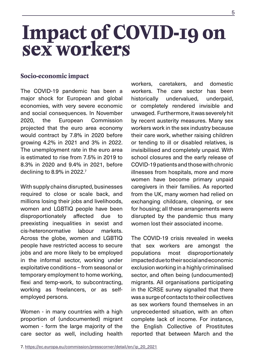# <span id="page-4-0"></span>**Impact of COVID-19 on sex workers**

### **Socio-economic impact**

The COVID-19 pandemic has been a major shock for European and global economies, with very severe economic and social consequences. In November 2020, the European Commission projected that the euro area economy would contract by 7.8% in 2020 before growing 4.2% in 2021 and 3% in 2022. The unemployment rate in the euro area is estimated to rise from 7.5% in 2019 to 8.3% in 2020 and 9.4% in 2021, before declining to 8.9% in 2022.7

With supply chains disrupted, businesses required to close or scale back, and millions losing their jobs and livelihoods, women and LGBTIQ people have been disproportionately affected due to preexisting inequalities in sexist and cis-heteronormative labour markets. Across the globe, women and LGBTIQ people have restricted access to secure jobs and are more likely to be employed in the informal sector, working under exploitative conditions – from seasonal or temporary employment to home working, flexi and temp-work, to subcontracting, working as freelancers, or as selfemployed persons.

Women - in many countries with a high proportion of (undocumented) migrant women - form the large majority of the care sector as well, including health workers, caretakers, and domestic workers. The care sector has been historically undervalued, underpaid, or completely rendered invisible and unwaged. Furthermore, it was severely hit by recent austerity measures. Many sex workers work in the sex industry because their care work, whether raising children or tending to ill or disabled relatives, is invisibilised and completely unpaid. With school closures and the early release of COVID-19 patients and those with chronic illnesses from hospitals, more and more women have become primary unpaid caregivers in their families. As reported from the UK, many women had relied on exchanging childcare, cleaning, or sex for housing; all these arrangements were disrupted by the pandemic thus many women lost their associated income.

The COVID-19 crisis revealed in weeks that sex workers are amongst the populations most disproportionately impacted due to their social and economic exclusion working in a highly criminalised sector, and often being (undocumented) migrants. All organisations participating in the ICRSE survey signalled that there was a surge of contacts to their collectives as sex workers found themselves in an unprecedented situation, with an often complete lack of income. For instance, the English Collective of Prostitutes reported that between March and the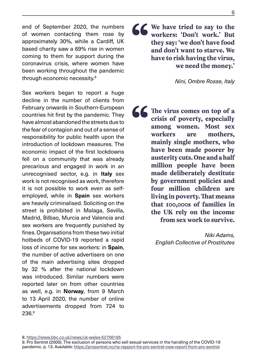end of September 2020, the numbers of women contacting them rose by approximately 30%, while a Cardiff, UK based charity saw a 69% rise in women coming to them for support during the coronavirus crisis, where women have been working throughout the pandemic through economic necessity.8

Sex workers began to report a huge decline in the number of clients from February onwards in Southern-European countries hit first by the pandemic. They have almost abandoned the streets due to the fear of contagion and out of a sense of responsibility for public health upon the introduction of lockdown measures. The economic impact of the first lockdowns fell on a community that was already precarious and engaged in work in an unrecognised sector, e.g. in **Italy** sex work is not recognised as work, therefore it is not possible to work even as selfemployed, while in **Spain** sex workers are heavily criminalised. Soliciting on the street is prohibited in Malaga, Sevilla, Madrid, Bilbao, Murcia and Valencia and sex workers are frequently punished by fines. Organisations from these two initial hotbeds of COVID-19 reported a rapid loss of income for sex workers: in **Spain**, the number of active advertisers on one of the main advertising sites dropped by 32 % after the national lockdown was introduced. Similar numbers were reported later on from other countries as well, e.g. in **Norway**, from 9 March to 13 April 2020, the number of online advertisements dropped from 724 to 236.9

**16 We have tried to say to the workers: 'Don't work.' But they say: 'we don't have food and don't want to starve. We have to risk having the virus, workers: 'Don't work.' But they say: 'we don't have food and don't want to starve. We have to risk having the virus, we need the money.'**

*Nini, Ombre Rosse, Italy*

**16 The virus comes on top of a crisis of poverty, especially among women. Most sex workers are mothers, mainly single mothers, who crisis of poverty, especially among women. Most sex workers are mothers, mainly single mothers, who have been made poorer by austerity cuts. One and a half million people have been made deliberately destitute by government policies and four million children are living in poverty. That means that 100,000s of families in the UK rely on the income from sex work to survive.**

> *Niki Adams, English Collective of Prostitutes*

<sup>8.</sup><https://www.bbc.co.uk/news/uk-wales-52706165> 9. Pro Sentret (2000). The exclusion of persons who sell sexual services in the handling of the COVID-19 pandemic. p. 13. Available:<https://prosentret.no/ny-rapport-fra-pro-sentret-new-report-from-pro-sentret>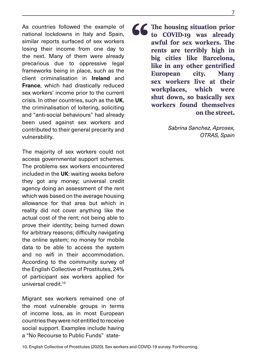As countries followed the example of national lockdowns in Italy and Spain, similar reports surfaced of sex workers losing their income from one day to the next. Many of them were already precarious due to oppressive legal frameworks being in place, such as the client criminalisation in **Ireland** and **France**, which had drastically reduced sex workers' income prior to the current crisis. In other countries, such as the **UK**, the criminalisation of loitering, soliciting and "anti-social behaviours" had already been used against sex workers and contributed to their general precarity and vulnerability.

The majority of sex workers could not access governmental support schemes. The problems sex workers encountered included in the **UK**: waiting weeks before they got any money; universal credit agency doing an assessment of the rent which was based on the average housing allowance for that area but which in reality did not cover anything like the actual cost of the rent; not being able to prove their identity; being turned down for arbitrary reasons; difficulty navigating the online system; no money for mobile data to be able to access the system and no wifi in their accommodation. According to the community survey of the English Collective of Prostitutes, 24% of participant sex workers applied for universal credit.10

Migrant sex workers remained one of the most vulnerable groups in terms of income loss, as in most European countries they were not entitled to receive social support. Examples include having a "No Recourse to Public Funds" state**16 The housing situation prior**<br>to COVID-19 was already<br>awful for sex workers. The<br>rents are terribly high in<br>big cities like Barcelona, **to COVID-19 was already awful for sex workers. The rents are terribly high in big cities like Barcelona, like in any other gentrified European city. Many sex workers live at their workplaces, which were shut down, so basically sex workers found themselves on the street.**

> *Sabrina Sanchez, Aprosex, OTRAS, Spain*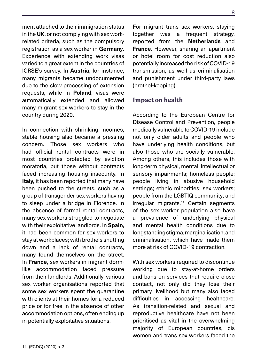<span id="page-7-0"></span>ment attached to their immigration status in the **UK**, or not complying with sex workrelated criteria, such as the compulsory registration as a sex worker in **Germany**. Experience with extending work visas varied to a great extent in the countries of ICRSE's survey. In **Austria**, for instance, many migrants became undocumented due to the slow processing of extension requests, while in **Poland**, visas were automatically extended and allowed many migrant sex workers to stay in the country during 2020.

In connection with shrinking incomes, stable housing also became a pressing concern. Those sex workers who had official rental contracts were in most countries protected by eviction moratoria, but those without contracts faced increasing housing insecurity. In **Italy,** it has been reported that many have been pushed to the streets, such as a group of transgender sex workers having to sleep under a bridge in Florence. In the absence of formal rental contracts, many sex workers struggled to negotiate with their exploitative landlords. In **Spain**, it had been common for sex workers to stay at workplaces; with brothels shutting down and a lack of rental contracts, many found themselves on the street. In **France**, sex workers in migrant dormlike accommodation faced pressure from their landlords. Additionally, various sex worker organisations reported that some sex workers spent the quarantine with clients at their homes for a reduced price or for free in the absence of other accommodation options, often ending up in potentially exploitative situations.

11. (ECDC) (2020) p. 3.

For migrant trans sex workers, staying together was a frequent strategy, reported from the **Netherlands** and **France**. However, sharing an apartment or hotel room for cost reduction also potentially increased the risk of COVID-19 transmission, as well as criminalisation and punishment under third-party laws (brothel-keeping).

### **Impact on health**

According to the European Centre for Disease Control and Prevention, people medically vulnerable to COVID-19 include not only older adults and people who have underlying health conditions, but also those who are socially vulnerable. Among others, this includes those with long-term physical, mental, intellectual or sensory impairments; homeless people; people living in abusive household settings; ethnic minorities; sex workers; people from the LGBTIQ community; and irregular migrants.<sup>11</sup> Certain segments of the sex worker population also have a prevalence of underlying physical and mental health conditions due to longstanding stigma, marginalisation, and criminalisation, which have made them more at risk of COVID-19 contraction.

With sex workers required to discontinue working due to stay-at-home orders and bans on services that require close contact, not only did they lose their primary livelihood but many also faced difficulties in accessing healthcare. As transition-related and sexual and reproductive healthcare have not been prioritised as vital in the overwhelming majority of European countries, cis women and trans sex workers faced the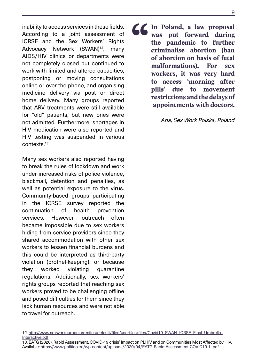inability to access services in these fields. According to a joint assessment of ICRSE and the Sex Workers' Rights Advocacy Network (SWAN)<sup>12</sup>, many AIDS/HIV clinics or departments were not completely closed but continued to work with limited and altered capacities, postponing or moving consultations online or over the phone, and organising medicine delivery via post or direct home delivery. Many groups reported that ARV treatments were still available for "old" patients, but new ones were not admitted. Furthermore, shortages in HIV medication were also reported and HIV testing was suspended in various contexts.13

Many sex workers also reported having to break the rules of lockdown and work under increased risks of police violence, blackmail, detention and penalties, as well as potential exposure to the virus. Community-based groups participating in the ICRSE survey reported the continuation of health prevention services. However, outreach often became impossible due to sex workers hiding from service providers since they shared accommodation with other sex workers to lessen financial burdens and this could be interpreted as third-party violation (brothel-keeping), or because they worked violating quarantine regulations. Additionally, sex workers' rights groups reported that reaching sex workers proved to be challenging offline and posed difficulties for them since they lack human resources and were not able to travel for outreach.

**In Poland, a law proposal was put forward during the pandemic to further criminalise abortion (ban of abortion on basis of fetal was put forward during the pandemic to further criminalise abortion (ban of abortion on basis of fetal malformations). For sex workers, it was very hard to access 'morning after pills' due to movement restrictions and the delays of appointments with doctors.**

*Ana, Sex Work Polska, Poland*

<sup>12.</sup> [http://www.sexworkeurope.org/sites/default/files/userfiles/files/Covid19\\_SWAN\\_ICRSE\\_Final\\_Umbrella\\_](http://www.sexworkeurope.org/sites/default/files/userfiles/files/Covid19_SWAN_ICRSE_Final_Umbrella_Interactive.pdf) [Interactive.pdf](http://www.sexworkeurope.org/sites/default/files/userfiles/files/Covid19_SWAN_ICRSE_Final_Umbrella_Interactive.pdf)

<sup>13.</sup> EATG (2020). Rapid Assessment. COVID-19 crisis' Impact on PLHIV and on Communities Most Affected by HIV. Available:<https://www.politico.eu/wp-content/uploads/2020/04/EATG-Rapid-Assessment-COVID19-1-.pdf>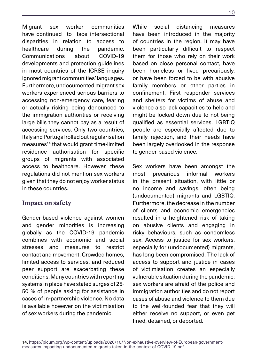<span id="page-9-0"></span>Migrant sex worker communities have continued to face intersectional disparities in relation to access to healthcare during the pandemic. Communications about COVID-19 developments and protection guidelines in most countries of the ICRSE inquiry ignored migrant communities' languages. Furthermore, undocumented migrant sex workers experienced serious barriers to accessing non-emergency care, fearing or actually risking being denounced to the immigration authorities or receiving large bills they cannot pay as a result of accessing services. Only two countries, Italy and Portugal rolled out regularisation measures<sup>14</sup> that would grant time-limited residence authorisation for specific groups of migrants with associated access to healthcare. However, these regulations did not mention sex workers given that they do not enjoy worker status in these countries.

### **Impact on safety**

Gender-based violence against women and gender minorities is increasing globally as the COVID-19 pandemic combines with economic and social stresses and measures to restrict contact and movement. Crowded homes, limited access to services, and reduced peer support are exacerbating these conditions. Many countries with reporting systems in place have stated surges of 25- 50 % of people asking for assistance in cases of in-partnership violence. No data is available however on the victimisation of sex workers during the pandemic.

While social distancing measures have been introduced in the majority of countries in the region, it may have been particularly difficult to respect them for those who rely on their work based on close personal contact, have been homeless or lived precariously, or have been forced to be with abusive family members or other parties in confinement. First responder services and shelters for victims of abuse and violence also lack capacities to help and might be locked down due to not being qualified as essential services. LGBTIQ people are especially affected due to family rejection, and their needs have been largely overlooked in the response to gender-based violence.

Sex workers have been amongst the most precarious informal workers in the present situation, with little or no income and savings, often being (undocumented) migrants and LGBTIQ. Furthermore, the decrease in the number of clients and economic emergencies resulted in a heightened risk of taking on abusive clients and engaging in risky behaviours, such as condomless sex. Access to justice for sex workers, especially for (undocumented) migrants, has long been compromised. The lack of access to support and justice in cases of victimisation creates an especially vulnerable situation during the pandemic: sex workers are afraid of the police and immigration authorities and do not report cases of abuse and violence to them due to the well-founded fear that they will either receive no support, or even get fined, detained, or deported.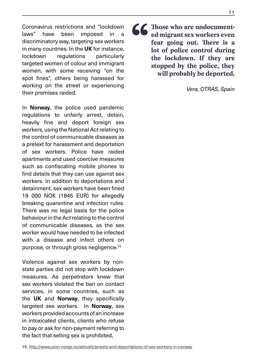Coronavirus restrictions and "lockdown laws" have been imposed in a discriminatory way, targeting sex workers in many countries. In the **UK** for instance, lockdown regulations particularly targeted women of colour and immigrant women, with some receiving "on the spot fines", others being harassed for working on the street or experiencing their premises raided.

In **Norway**, the police used pandemic regulations to unfairly arrest, detain, heavily fine and deport foreign sex workers, using the National Act relating to the control of communicable diseases as a pretext for harassment and deportation of sex workers. Police have raided apartments and used coercive measures such as confiscating mobile phones to find details that they can use against sex workers. In addition to deportations and detainment, sex workers have been fined 19 000 NOK (1845 EUR) for allegedly breaking quarantine and infection rules. There was no legal basis for the police behaviour in the Act relating to the control of communicable diseases, as the sex worker would have needed to be infected with a disease and infect others on purpose, or through gross negligence.15

Violence against sex workers by nonstate parties did not stop with lockdown measures. As perpetrators knew that sex workers violated the ban on contact services, in some countries, such as the **UK** and **Norway**, they specifically targeted sex workers. In **Norway**, sex workers provided accounts of an increase in intoxicated clients, clients who refuse to pay or ask for non-payment referring to the fact that selling sex is prohibited,

**Follow Example 2013** Consider the lockdown. If they are also the lockdown. If they are **ed migrant sex workers even fear going out. There is a lot of police control during the lockdown. If they are stopped by the police, they will probably be deported.**

*Vera, OTRAS, Spain*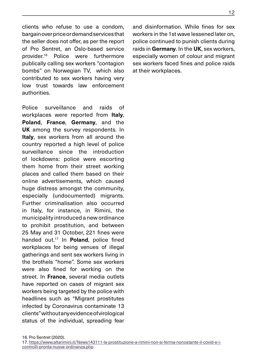clients who refuse to use a condom, bargain over price or demand services that the seller does not offer, as per the report of Pro Sentret, an Oslo-based service provider.16 Police were furthermore publically calling sex workers "contagion bombs" on Norwegian TV, which also contributed to sex workers having very low trust towards law enforcement authorities.

Police surveillance and raids of workplaces were reported from **Italy**, **Poland**, **France**, **Germany**, and the **UK** among the survey respondents. In **Italy**, sex workers from all around the country reported a high level of police surveillance since the introduction of lockdowns: police were escorting them home from their street working places and called them based on their online advertisements, which caused huge distress amongst the community, especially (undocumented) migrants. Further criminalisation also occurred in Italy, for instance, in Rimini, the municipality introduced a new ordinance to prohibit prostitution, and between 25 May and 31 October, 221 fines were handed out.17 In **Poland**, police fined workplaces for being venues of illegal gatherings and sent sex workers living in the brothels "home". Some sex workers were also fined for working on the street. In **France**, several media outlets have reported on cases of migrant sex workers being targeted by the police with headlines such as "Migrant prostitutes infected by Coronavirus contaminate 13 clients" without any evidence of virological status of the individual, spreading fear

and disinformation. While fines for sex workers in the 1st wave lessened later on, police continued to punish clients during raids in **Germany**. In the **UK**, sex workers, especially women of colour and migrant sex workers faced fines and police raids at their workplaces.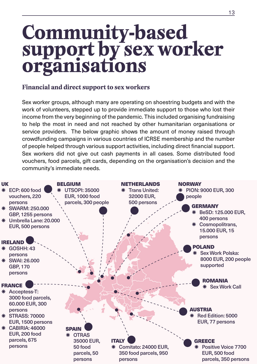# <span id="page-12-0"></span>**Community-based support by sex worker organisations**

### **Financial and direct support to sex workers**

Sex worker groups, although many are operating on shoestring budgets and with the work of volunteers, stepped up to provide immediate support to those who lost their income from the very beginning of the pandemic. This included organising fundraising to help the most in need and not reached by other humanitarian organisations or service providers. The below graphic shows the amount of money raised through crowdfunding campaigns in various countries of ICRSE membership and the number of people helped through various support activities, including direct financial support. Sex workers did not give out cash payments in all cases. Some distributed food vouchers, food parcels, gift cards, depending on the organisation's decision and the community's immediate needs.

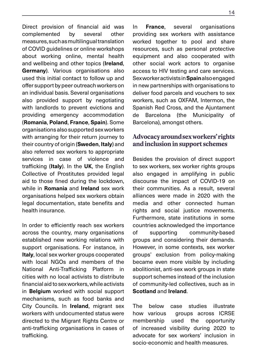<span id="page-13-0"></span>Direct provision of financial aid was complemented by several other measures, such as multilingual translation of COVID guidelines or online workshops about working online, mental health and wellbeing and other topics (**Ireland**, **Germany**). Various organisations also used this initial contact to follow up and offer support by peer outreach workers on an individual basis. Several organisations also provided support by negotiating with landlords to prevent evictions and providing emergency accommodation (**Romania**, **Poland**, **France**, **Spain**). Some organisations also supported sex workers with arranging for their return journey to their country of origin (**Sweden**, **Italy**) and also referred sex workers to appropriate services in case of violence and trafficking (**Italy**). In the **UK**, the English Collective of Prostitutes provided legal aid to those fined during the lockdown, while in **Romania** and **Ireland** sex work organisations helped sex workers obtain legal documentation, state benefits and health insurance.

In order to efficiently reach sex workers across the country, many organisations established new working relations with support organisations. For instance, in **Italy**, local sex worker groups cooperated with local NGOs and members of the National Anti-Trafficking Platform in cities with no local activists to distribute financial aid to sex workers, while activists in **Belgium** worked with social support mechanisms, such as food banks and City Councils. In **Ireland**, migrant sex workers with undocumented status were directed to the Migrant Rights Centre or anti-trafficking organisations in cases of trafficking.

In **France**, several organisations providing sex workers with assistance worked together to pool and share resources, such as personal protective equipment and also cooperated with other social work actors to organise access to HIV testing and care services. Sex worker activists in **Spain** also engaged in new partnerships with organisations to deliver food parcels and vouchers to sex workers, such as OXFAM, Intermon, the Spanish Red Cross, and the Ajuntament de Barcelona (the Municipality of Barcelona), amongst others.

#### **Advocacy around sex workers' rights and inclusion in support schemes**

Besides the provision of direct support to sex workers, sex worker rights groups also engaged in amplifying in public discourse the impact of COVID-19 on their communities. As a result, several alliances were made in 2020 with the media and other connected human rights and social justice movements. Furthermore, state institutions in some countries acknowledged the importance of supporting community-based groups and considering their demands. However, in some contexts, sex worker groups' exclusion from policy-making became even more visible by including abolitionist, anti-sex work groups in state support schemes instead of the inclusion of community-led collectives, such as in **Scotland** and **Ireland**.

The below case studies illustrate how various groups across ICRSE membership used the opportunity of increased visibility during 2020 to advocate for sex workers' inclusion in socio-economic and health measures.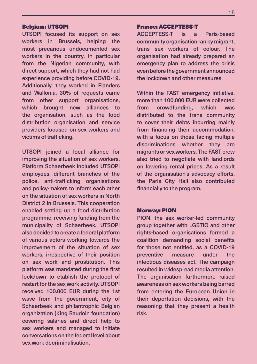#### <span id="page-14-0"></span>Belgium: UTSOPI

UTSOPI focused its support on sex workers in Brussels, helping the most precarious undocumented sex workers in the country, in particular from the Nigerian community, with direct support, which they had not had experience providing before COVID-19. Additionally, they worked in Flanders and Wallonia. 30% of requests came from other support organisations, which brought new alliances to the organisation, such as the food distribution organisation and service providers focused on sex workers and victims of trafficking.

UTSOPI joined a local alliance for improving the situation of sex workers. Platform Schaerbeek included UTSOPI employees, different branches of the police, anti-trafficking organisations and policy-makers to inform each other on the situation of sex workers in North District 2 in Brussels. This cooperation enabled setting up a food distribution programme, receiving funding from the municipality of Schaerbeek. UTSOPI also decided to create a federal platform of various actors working towards the improvement of the situation of sex workers, irrespective of their position on sex work and prostitution. This platform was mandated during the first lockdown to etablish the protocol of restart for the sex work activity. UTSOPI received 100.000 EUR during the 1st wave from the government, city of Schaerbeek and philantrophic Belgian organization (King Baudoin foundation) covering salaries and direct help to sex workers and managed to initiate conversations on the federal level about sex work decriminalisation.

#### France: ACCEPTESS-T

ACCEPTESS-T is a Paris-based community organisation ran by migrant, trans sex workers of colour. The organisation had already prepared an emergency plan to address the crisis even before the government announced the lockdown and other measures.

Within the FAST emergency initiative, more than 100.000 EUR were collected from crowdfunding, which was distributed to the trans community to cover their debts incurring mainly from financing their accommodation, with a focus on those facing multiple discriminations whether they are migrants or sex workers. The FAST crew also tried to negotiate with landlords on lowering rental prices. As a result of the organisation's advocacy efforts, the Paris City Hall also contributed financially to the program.

#### Norway: PION

PION, the sex worker-led community group together with LGBTIQ and other rights-based organisations formed a coalition demanding social benefits for those not entitled, as a COVID-19 preventive measure under the infectious diseases act. The campaign resulted in widespread media attention. The organisation furthermore raised awareness on sex workers being barred from entering the European Union in their deportation decisions, with the reasoning that they present a health risk.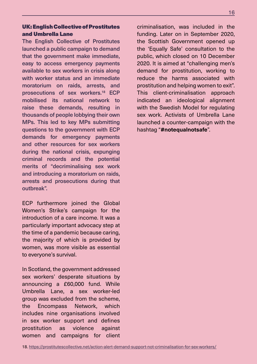#### <span id="page-15-0"></span>UK: English Collective of Prostitutes and Umbrella Lane

The English Collective of Prostitutes launched a public campaign to demand that the government make immediate, easy to access emergency payments available to sex workers in crisis along with worker status and an immediate moratorium on raids, arrests, and prosecutions of sex workers.18 ECP mobilised its national network to raise these demands, resulting in thousands of people lobbying their own MPs. This led to key MPs submitting questions to the government with ECP demands for emergency payments and other resources for sex workers during the national crisis, expunging criminal records and the potential merits of "decriminalising sex work and introducing a moratorium on raids, arrests and prosecutions during that outbreak".

ECP furthermore joined the Global Women's Strike's campaign for the introduction of a care income. It was a particularly important advocacy step at the time of a pandemic because caring, the majority of which is provided by women, was more visible as essential to everyone's survival.

In Scotland, the government addressed sex workers' desperate situations by announcing a £60,000 fund. While Umbrella Lane, a sex worker-led group was excluded from the scheme, the Encompass Network, which includes nine organisations involved in sex worker support and defines prostitution as violence against women and campaigns for client criminalisation, was included in the funding. Later on in September 2020, the Scottish Government opened up the 'Equally Safe' consultation to the public, which closed on 10 December 2020. It is aimed at "challenging men's demand for prostitution, working to reduce the harms associated with prostitution and helping women to exit". This client-criminalisation approach indicated an ideological alignment with the Swedish Model for regulating sex work. Activists of Umbrella Lane launched a counter-campaign with the hashtag "**#notequalnotsafe**".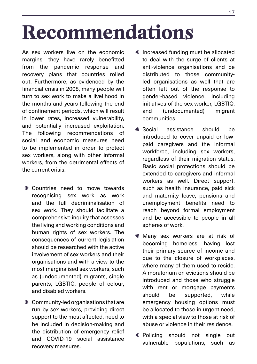# <span id="page-16-0"></span>**Recommendations**

As sex workers live on the economic margins, they have rarely benefitted from the pandemic response and recovery plans that countries rolled out. Furthermore, as evidenced by the financial crisis in 2008, many people will turn to sex work to make a livelihood in the months and years following the end of confinement periods, which will result in lower rates, increased vulnerability, and potentially increased exploitation. The following recommendations of social and economic measures need to be implemented in order to protect sex workers, along with other informal workers, from the detrimental effects of the current crisis.

- Å Countries need to move towards recognising sex work as work and the full decriminalisation of sex work. They should facilitate a comprehensive inquiry that assesses the living and working conditions and human rights of sex workers. The consequences of current legislation should be researched with the active involvement of sex workers and their organisations and with a view to the most marginalised sex workers, such as (undocumented) migrants, single parents, LGBTIQ, people of colour, and disabled workers.
- $*$  Community-led organisations that are run by sex workers, providing direct support to the most affected, need to be included in decision-making and the distribution of emergency relief and COVID-19 social assistance recovery measures.
- Å Increased funding must be allocated to deal with the surge of clients at anti-violence organisations and be distributed to those communityled organisations as well that are often left out of the response to gender-based violence, including initiatives of the sex worker, LGBTIQ, and (undocumented) migrant communities.
- Å Social assistance should be introduced to cover unpaid or lowpaid caregivers and the informal workforce, including sex workers, regardless of their migration status. Basic social protections should be extended to caregivers and informal workers as well. Direct support, such as health insurance, paid sick and maternity leave, pensions and unemployment benefits need to reach beyond formal employment and be accessible to people in all spheres of work.
- \* Many sex workers are at risk of becoming homeless, having lost their primary source of income and due to the closure of workplaces, where many of them used to reside. A moratorium on evictions should be introduced and those who struggle with rent or mortgage payments should be supported, while emergency housing options must be allocated to those in urgent need, with a special view to those at risk of abuse or violence in their residence.
- Å Policing should not single out vulnerable populations, such as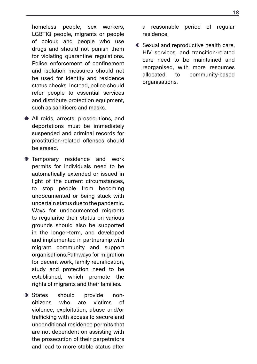homeless people, sex workers, LGBTIQ people, migrants or people of colour, and people who use drugs and should not punish them for violating quarantine regulations. Police enforcement of confinement and isolation measures should not be used for identity and residence status checks. Instead, police should refer people to essential services and distribute protection equipment, such as sanitisers and masks.

- Å All raids, arrests, prosecutions, and deportations must be immediately suspended and criminal records for prostitution-related offenses should be erased.
- $*$  **Temporary residence and work** permits for individuals need to be automatically extended or issued in light of the current circumstances, to stop people from becoming undocumented or being stuck with uncertain status due to the pandemic. Ways for undocumented migrants to regularise their status on various grounds should also be supported in the longer-term, and developed and implemented in partnership with migrant community and support organisations.Pathways for migration for decent work, family reunification, study and protection need to be established, which promote the rights of migrants and their families.
- \* States should provide noncitizens who are victims of violence, exploitation, abuse and/or trafficking with access to secure and unconditional residence permits that are not dependent on assisting with the prosecution of their perpetrators and lead to more stable status after

a reasonable period of regular residence.

Å Sexual and reproductive health care, HIV services, and transition-related care need to be maintained and reorganised, with more resources allocated to community-based organisations.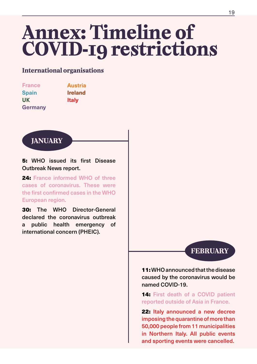# <span id="page-18-0"></span>**Annex: Timeline of COVID-19 restrictions**

### **International organisations**

| <b>France</b>  | <b>Austria</b> |
|----------------|----------------|
| <b>Spain</b>   | <b>Ireland</b> |
| <b>UK</b>      | <b>Italy</b>   |
| <b>Germany</b> |                |



5: WHO issued its first Disease Outbreak News report.

24: France informed WHO of three cases of coronavirus. These were the first confirmed cases in the WHO European region.

30: The WHO Director-General declared the coronavirus outbreak a public health emergency of international concern (PHEIC).

**FEBRUARY**

11:WHO announced that the disease caused by the coronavirus would be named COVID-19.

**14: First death of a COVID patient** reported outside of Asia in France.

22: Italy announced a new decree imposing the quarantine of more than 50,000 people from 11 municipalities in Northern Italy. All public events and sporting events were cancelled.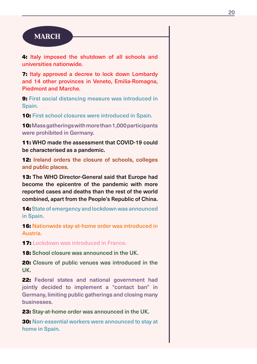### **MARCH**

4: Italy imposed the shutdown of all schools and universities nationwide.

7: Italy approved a decree to lock down Lombardy and 14 other provinces in Veneto, Emilia-Romagna, Piedmont and Marche.

**9: First social distancing measure was introduced in** Spain.

**10: First school closures were introduced in Spain.** 

10: Mass gatherings with more than 1,000 participants were prohibited in Germany.

11: WHO made the assessment that COVID-19 could be characterised as a pandemic.

12: Ireland orders the closure of schools, colleges and public places.

13: The WHO Director-General said that Europe had become the epicentre of the pandemic with more reported cases and deaths than the rest of the world combined, apart from the People's Republic of China.

14: State of emergency and lockdown was announced in Spain.

16: Nationwide stay-at-home order was introduced in Austria.

**17:** Lockdown was introduced in France.

**18:** School closure was announced in the UK.

**20:** Closure of public venues was introduced in the UK.

22: Federal states and national government had jointly decided to implement a "contact ban" in Germany, limiting public gatherings and closing many businesses.

23: Stay-at-home order was announced in the UK.

30: Non-essential workers were announced to stay at home in Spain.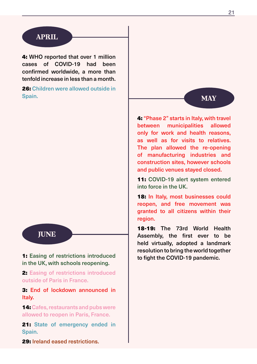### **APRIL**

4: WHO reported that over 1 million cases of COVID-19 had been confirmed worldwide, a more than tenfold increase in less than a month.

26: Children were allowed outside in Spain. **MAY**

### **JUNE**

1: Easing of restrictions introduced in the UK, with schools reopening.

2: Easing of restrictions introduced outside of Paris in France.

3: End of lockdown announced in Italy.

14: Cafes, restaurants and pubs were allowed to reopen in Paris, France.

21: State of emergency ended in Spain.

29: Ireland eased restrictions.

4: "Phase 2" starts in Italy, with travel between municipalities allowed only for work and health reasons, as well as for visits to relatives. The plan allowed the re-opening of manufacturing industries and construction sites, however schools and public venues stayed closed.

11: COVID-19 alert system entered into force in the UK.

18: In Italy, most businesses could reopen, and free movement was granted to all citizens within their region.

18-19: The 73rd World Health Assembly, the first ever to be held virtually, adopted a landmark resolution to bring the world together to fight the COVID-19 pandemic.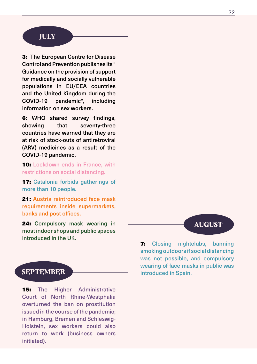### **JULY**

3: The European Centre for Disease Control and Prevention publishes its " Guidance on the provision of support for medically and socially vulnerable populations in EU/EEA countries and the United Kingdom during the COVID-19 pandemic", including information on sex workers.

6: WHO shared survey findings, showing that seventy-three countries have warned that they are at risk of stock-outs of antiretroviral (ARV) medicines as a result of the COVID-19 pandemic.

**10: Lockdown ends in France, with** restrictions on social distancing.

17: Catalonia forbids gatherings of more than 10 people.

21: Austria reintroduced face mask requirements inside supermarkets, banks and post offices.

24: Compulsory mask wearing in most indoor shops and public spaces introduced in the UK.

**15:** The Higher Administrative Court of North Rhine-Westphalia overturned the ban on prostitution issued in the course of the pandemic; in Hamburg, Bremen and Schleswig-Holstein, sex workers could also return to work (business owners initiated).

### **AUGUST**

7: Closing nightclubs, banning smoking outdoors if social distancing was not possible, and compulsory wearing of face masks in public was **SEPTEMBER Introduced in Spain.**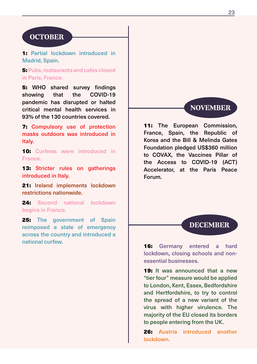### **OCTOBER**

1: Partial lockdown introduced in Madrid, Spain.

5: Pubs, restaurants and cafes closed in Paris, France.

5: WHO shared survey findings showing that the COVID-19 pandemic has disrupted or halted critical mental health services in 93% of the 130 countries covered.

7: Compulsory use of protection masks outdoors was introduced in Italy.

**10:** Curfews were introduced in France.

13: Stricter rules on gatherings introduced in Italy.

21: Ireland implements lockdown restrictions nationwide.

24: Second national lockdown begins in France.

25: The government of Spain reimposed a state of emergency across the country and introduced a national curfew.



11: The European Commission, France, Spain, the Republic of Korea and the Bill & Melinda Gates Foundation pledged US\$360 million to COVAX, the Vaccines Pillar of the Access to COVID-19 (ACT) Accelerator, at the Paris Peace Forum.

#### **DECEMBER**

16: Germany entered a hard lockdown, closing schools and nonessential businesses.

19: It was announced that a new "tier four" measure would be applied to London, Kent, Essex, Bedfordshire and Hertfordshire, to try to control the spread of a new variant of the virus with higher virulence. The majority of the EU closed its borders to people entering from the UK.

26: Austria introduced another lockdown.